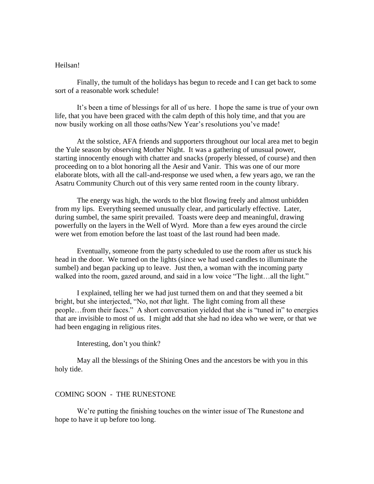## Heilsan!

Finally, the tumult of the holidays has begun to recede and I can get back to some sort of a reasonable work schedule!

It's been a time of blessings for all of us here. I hope the same is true of your own life, that you have been graced with the calm depth of this holy time, and that you are now busily working on all those oaths/New Year's resolutions you've made!

At the solstice, AFA friends and supporters throughout our local area met to begin the Yule season by observing Mother Night. It was a gathering of unusual power, starting innocently enough with chatter and snacks (properly blessed, of course) and then proceeding on to a blot honoring all the Aesir and Vanir. This was one of our more elaborate blots, with all the call-and-response we used when, a few years ago, we ran the Asatru Community Church out of this very same rented room in the county library.

The energy was high, the words to the blot flowing freely and almost unbidden from my lips. Everything seemed unusually clear, and particularly effective. Later, during sumbel, the same spirit prevailed. Toasts were deep and meaningful, drawing powerfully on the layers in the Well of Wyrd. More than a few eyes around the circle were wet from emotion before the last toast of the last round had been made.

Eventually, someone from the party scheduled to use the room after us stuck his head in the door. We turned on the lights (since we had used candles to illuminate the sumbel) and began packing up to leave. Just then, a woman with the incoming party walked into the room, gazed around, and said in a low voice "The light...all the light."

I explained, telling her we had just turned them on and that they seemed a bit bright, but she interjected, "No, not *that* light. The light coming from all these people…from their faces." A short conversation yielded that she is "tuned in" to energies that are invisible to most of us. I might add that she had no idea who we were, or that we had been engaging in religious rites.

Interesting, don't you think?

May all the blessings of the Shining Ones and the ancestors be with you in this holy tide.

## COMING SOON - THE RUNESTONE

We're putting the finishing touches on the winter issue of The Runestone and hope to have it up before too long.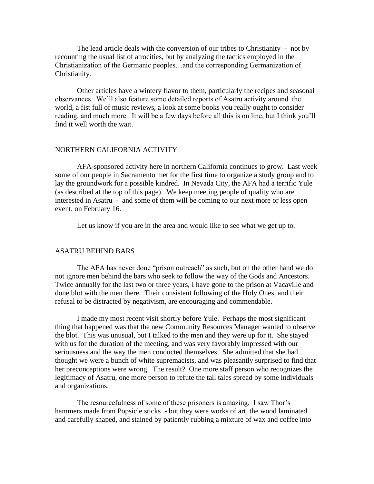The lead article deals with the conversion of our tribes to Christianity - not by recounting the usual list of atrocities, but by analyzing the tactics employed in the Christianization of the Germanic peoples…and the corresponding Germanization of Christianity.

Other articles have a wintery flavor to them, particularly the recipes and seasonal observances. We'll also feature some detailed reports of Asatru activity around the world, a fist full of music reviews, a look at some books you really ought to consider reading, and much more. It will be a few days before all this is on line, but I think you'll find it well worth the wait.

## NORTHERN CALIFORNIA ACTIVITY

AFA-sponsored activity here in northern California continues to grow. Last week some of our people in Sacramento met for the first time to organize a study group and to lay the groundwork for a possible kindred. In Nevada City, the AFA had a terrific Yule (as described at the top of this page). We keep meeting people of quality who are interested in Asatru - and some of them will be coming to our next more or less open event, on February 16.

Let us know if you are in the area and would like to see what we get up to.

## ASATRU BEHIND BARS

The AFA has never done "prison outreach" as such, but on the other hand we do not ignore men behind the bars who seek to follow the way of the Gods and Ancestors. Twice annually for the last two or three years, I have gone to the prison at Vacaville and done blot with the men there. Their consistent following of the Holy Ones, and their refusal to be distracted by negativism, are encouraging and commendable.

I made my most recent visit shortly before Yule. Perhaps the most significant thing that happened was that the new Community Resources Manager wanted to observe the blot. This was unusual, but I talked to the men and they were up for it. She stayed with us for the duration of the meeting, and was very favorably impressed with our seriousness and the way the men conducted themselves. She admitted that she had thought we were a bunch of white supremacists, and was pleasantly surprised to find that her preconceptions were wrong. The result? One more staff person who recognizes the legitimacy of Asatru, one more person to refute the tall tales spread by some individuals and organizations.

The resourcefulness of some of these prisoners is amazing. I saw Thor's hammers made from Popsicle sticks - but they were works of art, the wood laminated and carefully shaped, and stained by patiently rubbing a mixture of wax and coffee into